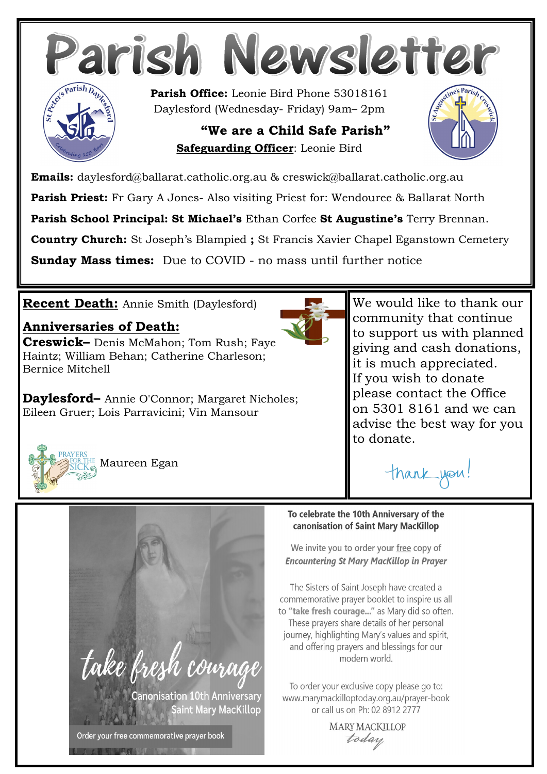

**Emails:** daylesford@ballarat.catholic.org.au & creswick@ballarat.catholic.org.au

**Parish Priest:** Fr Gary A Jones- Also visiting Priest for: Wendouree & Ballarat North

**Parish School Principal: St Michael's** Ethan Corfee **St Augustine's** Terry Brennan.

**Country Church:** St Joseph's Blampied **;** St Francis Xavier Chapel Eganstown Cemetery

**Sunday Mass times:** Due to COVID - no mass until further notice

# **Recent Death:** Annie Smith (Daylesford)

# **Anniversaries of Death:**

**Creswick–** Denis McMahon; Tom Rush; Faye Haintz; William Behan; Catherine Charleson; Bernice Mitchell

**Daylesford–** Annie O'Connor; Margaret Nicholes; Eileen Gruer; Lois Parravicini; Vin Mansour



We would like to thank our community that continue to support us with planned giving and cash donations, it is much appreciated. If you wish to donate please contact the Office on 5301 8161 and we can advise the best way for you to donate.

thank you!



Maureen Egan



### To celebrate the 10th Anniversary of the canonisation of Saint Mary MacKillop

We invite you to order your free copy of **Encountering St Mary MacKillop in Prayer** 

The Sisters of Saint Joseph have created a commemorative prayer booklet to inspire us all to "take fresh courage..." as Mary did so often. These prayers share details of her personal journey, highlighting Mary's values and spirit, and offering prayers and blessings for our modern world.

To order your exclusive copy please go to: www.marymackilloptoday.org.au/prayer-book or call us on Ph: 02 8912 2777

**MARY MACKILLOP** today